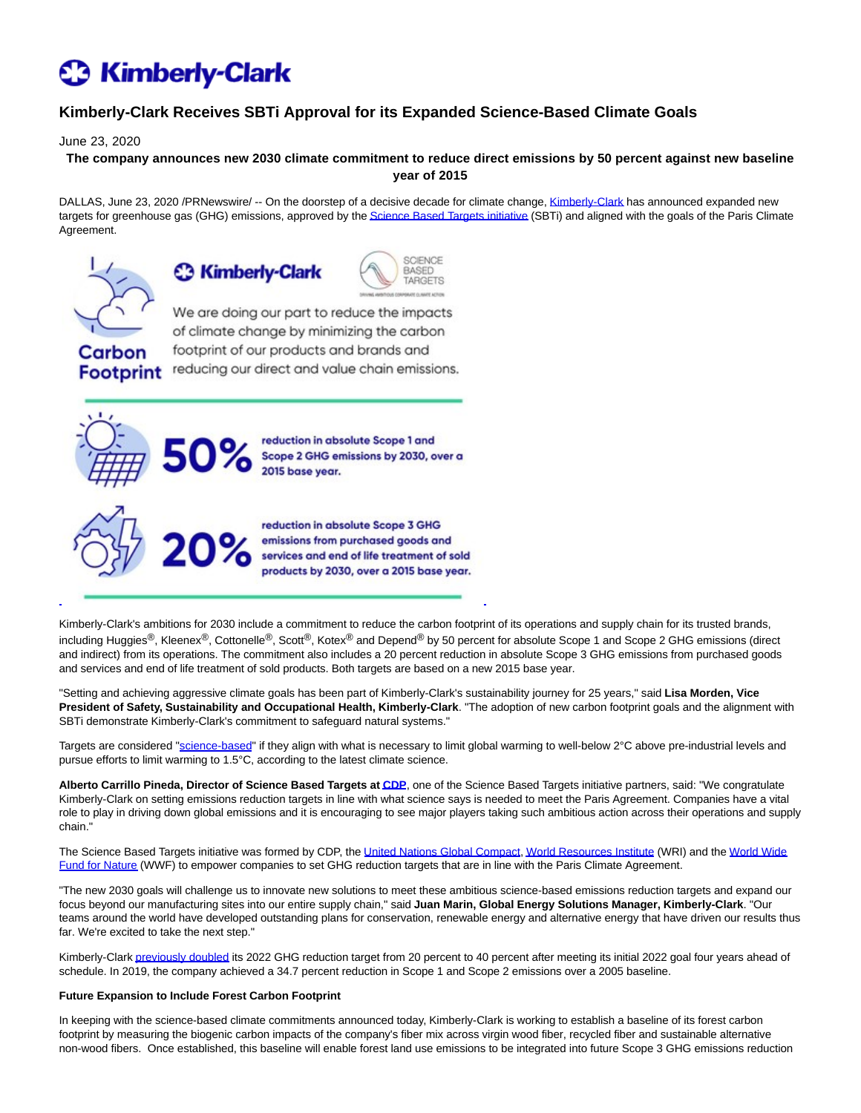# **C3 Kimberly-Clark**

## **Kimberly-Clark Receives SBTi Approval for its Expanded Science-Based Climate Goals**

June 23, 2020

**The company announces new 2030 climate commitment to reduce direct emissions by 50 percent against new baseline year of 2015**

DALLAS, June 23, 2020 /PRNewswire/ -- On the doorstep of a decisive decade for climate change[, Kimberly-Clark h](https://c212.net/c/link/?t=0&l=en&o=2838401-1&h=743633575&u=https%3A%2F%2Fwww.kimberly-clark.com%2Fen%2F&a=Kimberly-Clark)as announced expanded new targets for greenhouse gas (GHG) emissions, approved by th[e Science Based Targets initiative \(](https://c212.net/c/link/?t=0&l=en&o=2838401-1&h=1750477071&u=https%3A%2F%2Fsciencebasedtargets.org%2F&a=Science+Based+Targets+initiative)SBTi) and aligned with the goals of the Paris Climate Agreement.



Carbon

**Footprint** 





We are doing our part to reduce the impacts of climate change by minimizing the carbon footprint of our products and brands and reducing our direct and value chain emissions.



reduction in absolute Scope 1 and Scope 2 GHG emissions by 2030, over a 2015 base year.



reduction in absolute Scope 3 GHG emissions from purchased goods and services and end of life treatment of sold products by 2030, over a 2015 base year.

Kimberly-Clark's ambitions for 2030 include a commitment to reduce the carbon footprint of its operations and supply chain for its trusted brands, including Huggies<sup>®</sup>, Kleenex<sup>®</sup>, Cottonelle<sup>®</sup>, Scott®, Kotex® and Depend<sup>®</sup> by 50 percent for absolute Scope 1 and Scope 2 GHG emissions (direct and indirect) from its operations. The commitment also includes a 20 percent reduction in absolute Scope 3 GHG emissions from purchased goods and services and end of life treatment of sold products. Both targets are based on a new 2015 base year.

"Setting and achieving aggressive climate goals has been part of Kimberly-Clark's sustainability journey for 25 years," said **Lisa Morden, Vice President of Safety, Sustainability and Occupational Health, Kimberly-Clark**. "The adoption of new carbon footprint goals and the alignment with SBTi demonstrate Kimberly-Clark's commitment to safeguard natural systems."

Targets are considered ["science-based"](https://c212.net/c/link/?t=0&l=en&o=2838401-1&h=1171674227&u=https%3A%2F%2Fsciencebasedtargets.org%2Fabout-the-science-based-targets-initiative%2F&a=science-based) if they align with what is necessary to limit global warming to well-below 2°C above pre-industrial levels and pursue efforts to limit warming to 1.5°C, according to the latest climate science.

**Alberto Carrillo Pineda, Director of Science Based Targets a[t CDP](https://c212.net/c/link/?t=0&l=en&o=2838401-1&h=4128482487&u=https%3A%2F%2Fwww.cdp.net%2Fen&a=CDP)**, one of the Science Based Targets initiative partners, said: "We congratulate Kimberly-Clark on setting emissions reduction targets in line with what science says is needed to meet the Paris Agreement. Companies have a vital role to play in driving down global emissions and it is encouraging to see major players taking such ambitious action across their operations and supply chain."

The Science Based Targets initiative was formed by CDP, the [United Nations Global Compact,](https://c212.net/c/link/?t=0&l=en&o=2838401-1&h=216682500&u=https%3A%2F%2Fwww.unglobalcompact.org%2Fwhat-is-gc%2Four-work%2Fenvironment%2Fclimate&a=United+Nations+Global+Compact) [World Resources Institute \(](https://c212.net/c/link/?t=0&l=en&o=2838401-1&h=1499301795&u=https%3A%2F%2Fwww.wri.org%2Four-work%2Ftopics%2Fclimate&a=World+Resources+Institute)WRI) and the [World Wide](https://c212.net/c/link/?t=0&l=en&o=2838401-1&h=390824236&u=https%3A%2F%2Fwwf.panda.org%2Four_work%2Fclimate_and_energy%2Fwhat_we_do%2F&a=World+Wide+Fund+for+Nature) Fund for Nature (WWF) to empower companies to set GHG reduction targets that are in line with the Paris Climate Agreement.

"The new 2030 goals will challenge us to innovate new solutions to meet these ambitious science-based emissions reduction targets and expand our focus beyond our manufacturing sites into our entire supply chain," said **Juan Marin, Global Energy Solutions Manager, Kimberly-Clark**. "Our teams around the world have developed outstanding plans for conservation, renewable energy and alternative energy that have driven our results thus far. We're excited to take the next step."

Kimberly-Clark [previously doubled i](https://c212.net/c/link/?t=0&l=en&o=2838401-1&h=406823499&u=https%3A%2F%2Fwww.3blmedia.com%2FNews%2FKimberly-Clark-Doubles-Down-Climate-and-Energy-Goal-Aiming-40-GHG-Reduction-2022&a=previously+doubled)ts 2022 GHG reduction target from 20 percent to 40 percent after meeting its initial 2022 goal four years ahead of schedule. In 2019, the company achieved a 34.7 percent reduction in Scope 1 and Scope 2 emissions over a 2005 baseline.

### **Future Expansion to Include Forest Carbon Footprint**

In keeping with the science-based climate commitments announced today, Kimberly-Clark is working to establish a baseline of its forest carbon footprint by measuring the biogenic carbon impacts of the company's fiber mix across virgin wood fiber, recycled fiber and sustainable alternative non-wood fibers. Once established, this baseline will enable forest land use emissions to be integrated into future Scope 3 GHG emissions reduction